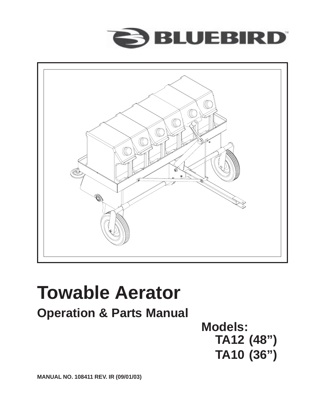



# **Operation & Parts Manual Towable Aerator**

**Models: TA12 (48") TA10 (36")**

**MANUAL NO. 108411 REV. IR (09/01/03)**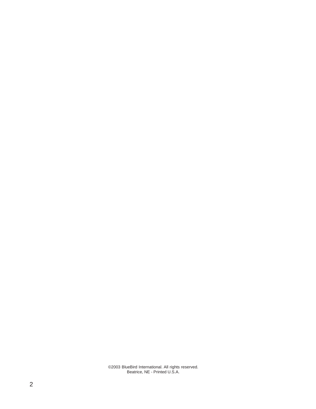©2003 BlueBird International. All rights reserved. Beatrice, NE - Printed U.S.A.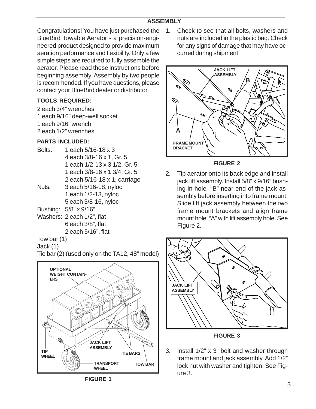## **ASSEMBLY**

Congratulations! You have just purchased the BlueBird Towable Aerator - a precision-engineered product designed to provide maximum aeration performance and flexibility. Only a few simple steps are required to fully assemble the aerator. Please read these instructions before beginning assembly. Assembly by two people is recommended. If you have questions, please contact your BlueBird dealer or distributor.

## **TOOLS REQUIRED:**

2 each 3/4" wrenches 1 each 9/16" deep-well socket 1 each 9/16" wrench 2 each 1/2" wrenches

#### **PARTS INCLUDED:**

- Bolts: 1 each 5/16-18 x 3 4 each 3/8-16 x 1, Gr. 5 1 each 1/2-13 x 3 1/2, Gr. 5 1 each 3/8-16 x 1 3/4, Gr. 5 2 each 5/16-18 x 1, carriage Nuts: 3 each 5/16-18, nyloc 1 each 1/2-13, nyloc 5 each 3/8-16, nyloc Bushing: 5/8" x 9/16" Washers: 2 each 1/2", flat
	- 6 each 3/8", flat 2 each 5/16", flat

# Tow bar (1)

Jack (1)

Tie bar (2) (used only on the TA12, 48" model)



**FIGURE 1**

1. Check to see that all bolts, washers and nuts are included in the plastic bag. Check for any signs of damage that may have occurred during shipment.



#### **FIGURE 2**

2. Tip aerator onto its back edge and install jack lift assembly. Install 5/8" x 9/16" bushing in hole "B" near end of the jack assembly before inserting into frame mount. Slide lift jack assembly between the two frame mount brackets and align frame mount hole "A" with lift assembly hole. See Figure 2.



**FIGURE 3**

3. Install 1/2" x 3" bolt and washer through frame mount and jack assembly. Add 1/2" lock nut with washer and tighten. See Figure 3.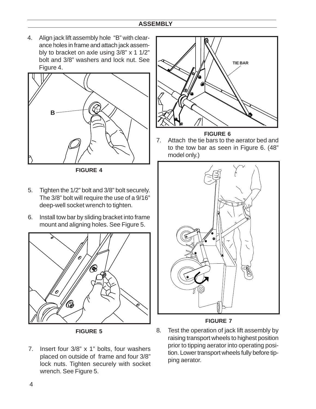4. Align jack lift assembly hole "B" with clearance holes in frame and attach jack assembly to bracket on axle using 3/8" x 1 1/2" bolt and 3/8" washers and lock nut. See Figure 4.



**FIGURE 4**

- 5. Tighten the 1/2" bolt and 3/8" bolt securely. The 3/8" bolt will require the use of a 9/16" deep-well socket wrench to tighten.
- 6. Install tow bar by sliding bracket into frame mount and aligning holes. See Figure 5.



**FIGURE 5**

7. Insert four 3/8" x 1" bolts, four washers placed on outside of frame and four 3/8" lock nuts. Tighten securely with socket wrench. See Figure 5.



#### **FIGURE 6**

7. Attach the tie bars to the aerator bed and to the tow bar as seen in Figure 6. (48" model only.)



### **FIGURE 7**

8. Test the operation of jack lift assembly by raising transport wheels to highest position prior to tipping aerator into operating position. Lower transport wheels fully before tipping aerator.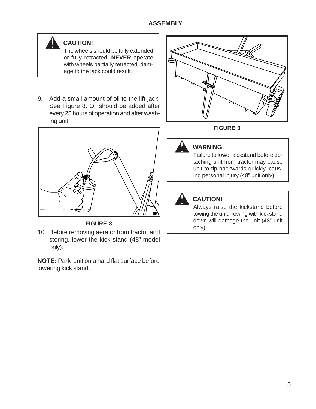# **ASSEMBLY**

# **CAUTION!**

The wheels should be fully extended or fully retracted. **NEVER** operate with wheels partially retracted, damage to the jack could result.

9. Add a small amount of oil to the lift jack. See Figure 8. Oil should be added after every 25 hours of operation and after washing unit.



**FIGURE 9**



**FIGURE 8**

10. Before removing aerator from tractor and storing, lower the kick stand (48" model only).

**NOTE:** Park unit on a hard flat surface before lowering kick stand.



# **WARNING!**

Failure to lower kickstand before detaching unit from tractor may cause unit to tip backwards quickly, causing personal injury (48" unit only).



# **CAUTION!**

Always raise the kickstand before towing the unit. Towing with kickstand down will damage the unit (48" unit only).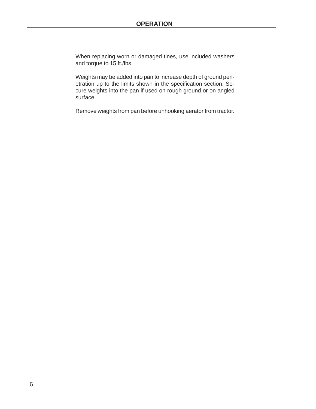When replacing worn or damaged tines, use included washers and torque to 15 ft./lbs.

Weights may be added into pan to increase depth of ground penetration up to the limits shown in the specification section. Secure weights into the pan if used on rough ground or on angled surface.

Remove weights from pan before unhooking aerator from tractor.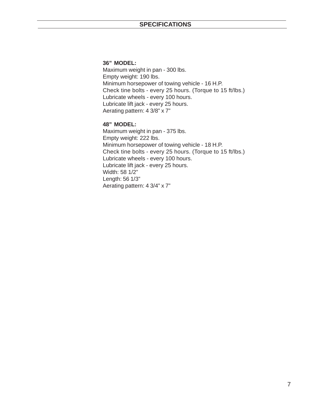**36" MODEL:**

Maximum weight in pan - 300 lbs. Empty weight: 190 lbs. Minimum horsepower of towing vehicle - 16 H.P. Check tine bolts - every 25 hours. (Torque to 15 ft/lbs.) Lubricate wheels - every 100 hours. Lubricate lift jack - every 25 hours. Aerating pattern: 4 3/8" x 7"

### **48" MODEL:**

Maximum weight in pan - 375 lbs. Empty weight: 222 lbs. Minimum horsepower of towing vehicle - 18 H.P. Check tine bolts - every 25 hours. (Torque to 15 ft/lbs.) Lubricate wheels - every 100 hours. Lubricate lift jack - every 25 hours. Width: 58 1/2" Length: 56 1/3" Aerating pattern: 4 3/4" x 7"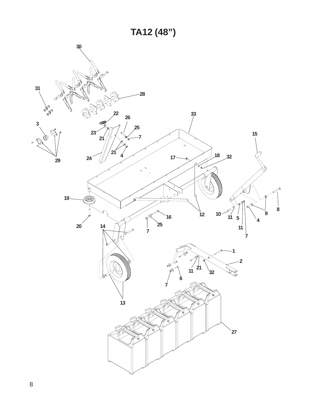**TA12 (48")**

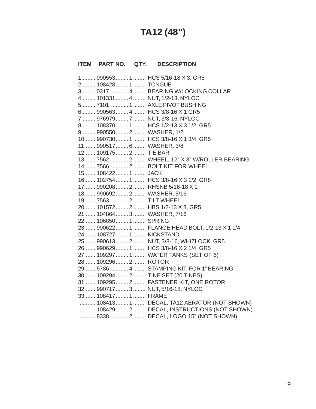# **TA12 (48")**

# **ITEM PART NO. QTY. DESCRIPTION**

|                          | 1  990553  1  HCS 5/16-18 X 3, GR5              |
|--------------------------|-------------------------------------------------|
| 2  108428  1  TONGUE     |                                                 |
|                          | 3  0317  4  BEARING W/LOCKING COLLAR            |
|                          | 4  101331  4  NUT, 1/2-13, NYLOC                |
|                          | 5  7101  1  AXLE PIVOT BUSHING                  |
|                          | 6  990563  4  HCS 3/8-16 X 1 GR5                |
|                          | 7  976979  7  NUT, 3/8-16, NYLOC                |
|                          | 8  108370  1  HCS 1/2-13 X 3 1/2, GR5           |
|                          | 9  990550  2  WASHER, 1/2                       |
|                          | 10  990730  1  HCS 3/8-16 X 1 3/4, GR5          |
|                          | 11  990517  6  WASHER, 3/8                      |
| 12  109175  2  TIE BAR   |                                                 |
|                          | 13  7562  2  WHEEL, 12" X 3" W/ROLLER BEARING   |
|                          | 14  7566  2  BOLT KIT FOR WHEEL                 |
| 15  108422  1  JACK      |                                                 |
|                          | 16  102754  1  HCS 3/8-16 X 3 1/2, GR8          |
|                          | 17  990208  2  RHSNB 5/16-18 X 1                |
|                          | 18  990692  2  WASHER, 5/16                     |
|                          | 19  7563  2  TILT WHEEL                         |
|                          | 20  101572  2  HBS 1/2-13 X 3, GR5              |
|                          | 21  104864  3  WASHER, 7/16                     |
| 22  106850  1  SPRING    |                                                 |
|                          | 23  990622  1  FLANGE HEAD BOLT, 1/2-13 X 1 1/4 |
| 24  108727  1  KICKSTAND |                                                 |
|                          | 25  990613  2  NUT, 3/8-16, WHIZLOCK, GR5       |
|                          | 26  990629  1  HCS 3/8-16 X 2 1/4, GR5          |
|                          | 27  109297  1  WATER TANKS (SET OF 6)           |
| 28  109296  2  ROTOR     |                                                 |
|                          | 29  5786  4  STAMPING KIT, FOR 1" BEARING       |
|                          | 30  109294  2  TINE SET (20 TINES)              |
|                          | 31  109295  2  FASTENER KIT, ONE ROTOR          |
|                          | 32  990717  3  NUT, 5/16-18, NYLOC              |
| 33  108417  1  FRAME     |                                                 |
|                          | 108413 1  DECAL, TA12 AERATOR (NOT SHOWN)       |
|                          | 108429 2  DECAL, INSTRUCTIONS (NOT SHOWN)       |
|                          | 8338  2  DECAL, LOGO 15" (NOT SHOWN)            |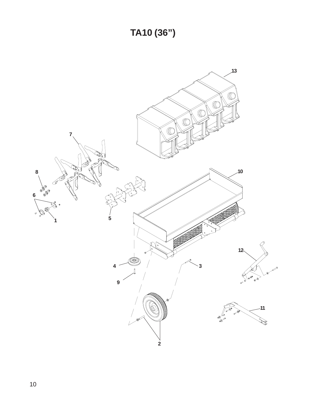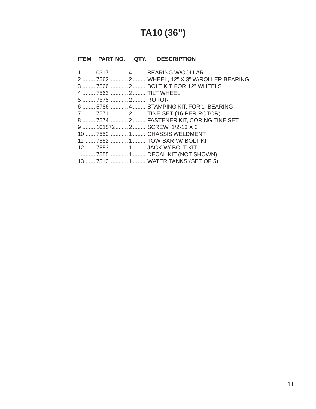# **TA10 (36")**

# **ITEM PART NO. QTY. DESCRIPTION**

|                                 | 1  0317  4  BEARING W/COLLAR                 |
|---------------------------------|----------------------------------------------|
|                                 | 2  7562  2  WHEEL, 12" X 3" W/ROLLER BEARING |
|                                 | 3  7566  2  BOLT KIT FOR 12" WHEELS          |
| 4  7563  2  TILT WHEEL          |                                              |
| 5  7575  2  ROTOR               |                                              |
|                                 | 6  5786  4  STAMPING KIT, FOR 1" BEARING     |
|                                 | 7  7571  2  TINE SET (16 PER ROTOR)          |
|                                 | 8  7574  2  FASTENER KIT, CORING TINE SET    |
| 9  101572  2  SCREW, 1/2-13 X 3 |                                              |
|                                 | 10  7550  1  CHASSIS WELDMENT                |
|                                 | 11  7552  1  TOW BAR W/ BOLT KIT             |
| 12  7553  1  JACK W/ BOLT KIT   |                                              |
|                                 | 7555  1  DECAL KIT (NOT SHOWN)               |
|                                 | 13  7510  1  WATER TANKS (SET OF 5)          |
|                                 |                                              |